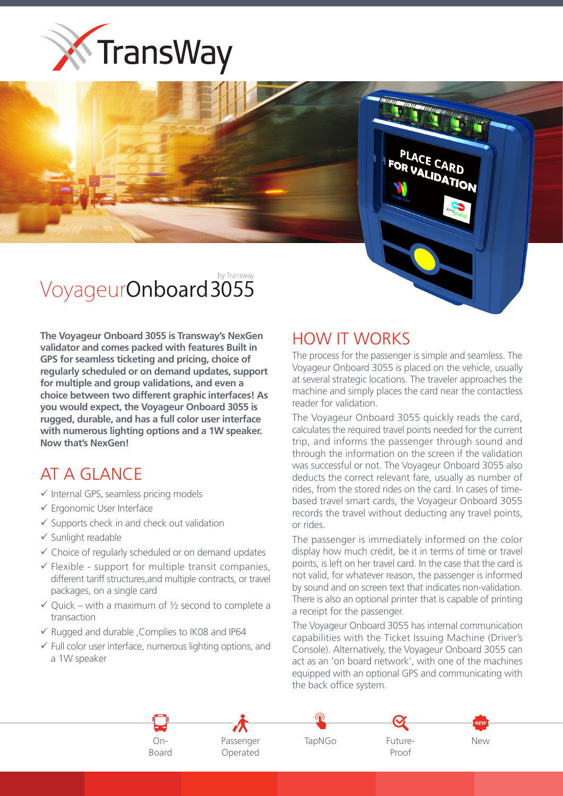



**The Voyageur Onboard 3055 is Transway's NexGen** validator and comes packed with features Built in **GPS** for seamless ticketing and pricing, choice of regularly scheduled or on demand updates, support for multiple and group validations, and even a choice between two different graphic interfaces! As **you would expect, the Voyageur Onboard 3055 is** rugged, durable, and has a full color user interface with numerous lighting options and a 1W speaker. **Now that's NexGen!** 

## AT A GLANCE

- $\checkmark$  Internal GPS, seamless pricing models
- $\checkmark$  Ergonomic User Interface
- $\checkmark$  Supports check in and check out validation
- $\checkmark$  Sunlight readable
- $\checkmark$  Choice of regularly scheduled or on demand updates
- $\checkmark$  Flexible support for multiple transit companies, different tariff structures, and multiple contracts, or travel packages, on a single card
- $\checkmark$  Quick with a maximum of  $\mathcal{V}_2$  second to complete a transaction
- $\checkmark$  Rugged and durable , Complies to IK08 and IP64
- $\checkmark$  Full color user interface, numerous lighting options, and a 1W speaker

## HOW IT WORKS

The process for the passenger is simple and seamless. The Voyageur Onboard 3055 is placed on the vehicle, usually at several strategic locations. The traveler approaches the machine and simply places the card near the contactless reader for validation.

PLACE CARD **FOR VALIDATION** 

The Voyageur Onboard 3055 quickly reads the card, calculates the required travel points needed for the current trip, and informs the passenger through sound and through the information on the screen if the validation was successful or not. The Voyageur Onboard 3055 also deducts the correct relevant fare, usually as number of based travel smart cards, the Voyageur Onboard 3055 rides, from the stored rides on the card. In cases of timerecords the travel without deducting any travel points, or rides.

The passenger is immediately informed on the color display how much credit, be it in terms of time or travel points, is left on her travel card. In the case that the card is not valid, for whatever reason, the passenger is informed by sound and on screen text that indicates non-validation. There is also an optional printer that is capable of printing a receipt for the passenger.

The Voyageur Onboard 3055 has internal communication capabilities with the Ticket Issuing Machine (Driver's Console). Alternatively, the Voyageur Onboard 3055 can act as an 'on board network', with one of the machines equipped with an optional GPS and communicating with the back office system.



OnPassenger
TapNGo Operated



Proof

New